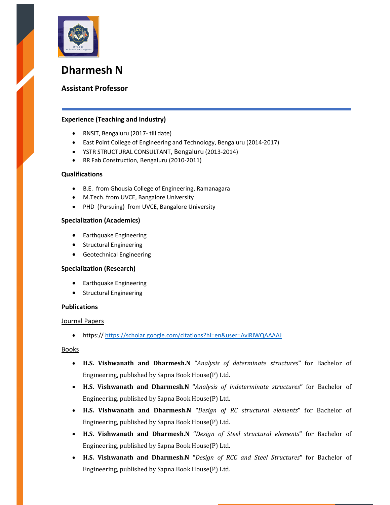

# Dharmesh N

# Assistant Professor

# Experience (Teaching and Industry)

- RNSIT, Bengaluru (2017- till date)
- East Point College of Engineering and Technology, Bengaluru (2014-2017)
- YSTR STRUCTURAL CONSULTANT, Bengaluru (2013-2014)
- RR Fab Construction, Bengaluru (2010-2011)

## Qualifications

- B.E. from Ghousia College of Engineering, Ramanagara
- M.Tech. from UVCE, Bangalore University
- PHD (Pursuing) from UVCE, Bangalore University

#### Specialization (Academics)

- **•** Earthquake Engineering
- **•** Structural Engineering
- Geotechnical Engineering

## Specialization (Research)

- **•** Earthquake Engineering
- **•** Structural Engineering

#### **Publications**

#### Journal Papers

https:// https://scholar.google.com/citations?hl=en&user=AvlRiWQAAAAJ

#### Books

- H.S. Vishwanath and Dharmesh.N "Analysis of determinate structures" for Bachelor of Engineering, published by Sapna Book House(P) Ltd.
- H.S. Vishwanath and Dharmesh.N "Analysis of indeterminate structures" for Bachelor of Engineering, published by Sapna Book House(P) Ltd.
- H.S. Vishwanath and Dharmesh.N "Design of RC structural elements" for Bachelor of Engineering, published by Sapna Book House(P) Ltd.
- H.S. Vishwanath and Dharmesh.N "Design of Steel structural elements" for Bachelor of Engineering, published by Sapna Book House(P) Ltd.
- H.S. Vishwanath and Dharmesh.N "Design of RCC and Steel Structures" for Bachelor of Engineering, published by Sapna Book House(P) Ltd.